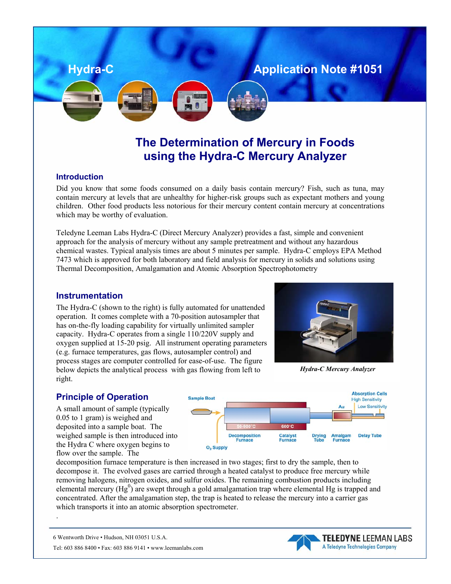# **Hydra-C Application Note #1051**

# **The Determination of Mercury in Foods using the Hydra-C Mercury Analyzer**

### **Introduction**

Did you know that some foods consumed on a daily basis contain mercury? Fish, such as tuna, may contain mercury at levels that are unhealthy for higher-risk groups such as expectant mothers and young children. Other food products less notorious for their mercury content contain mercury at concentrations which may be worthy of evaluation.

Teledyne Leeman Labs Hydra-C (Direct Mercury Analyzer) provides a fast, simple and convenient approach for the analysis of mercury without any sample pretreatment and without any hazardous chemical wastes. Typical analysis times are about 5 minutes per sample. Hydra-C employs EPA Method 7473 which is approved for both laboratory and field analysis for mercury in solids and solutions using Thermal Decomposition, Amalgamation and Atomic Absorption Spectrophotometry

### **Instrumentation**

The Hydra-C (shown to the right) is fully automated for unattended operation. It comes complete with a 70-position autosampler that has on-the-fly loading capability for virtually unlimited sampler capacity. Hydra-C operates from a single 110/220V supply and oxygen supplied at 15-20 psig. All instrument operating parameters (e.g. furnace temperatures, gas flows, autosampler control) and process stages are computer controlled for ease-of-use. The figure below depicts the analytical process with gas flowing from left to right.



*Hydra-C Mercury Analyzer* 

## **Principle of Operation**

A small amount of sample (typically 0.05 to 1 gram) is weighed and deposited into a sample boat. The weighed sample is then introduced into the Hydra C where oxygen begins to flow over the sample. The



decomposition furnace temperature is then increased in two stages; first to dry the sample, then to decompose it. The evolved gases are carried through a heated catalyst to produce free mercury while removing halogens, nitrogen oxides, and sulfur oxides. The remaining combustion products including elemental mercury  $(Hg^0)$  are swept through a gold amalgamation trap where elemental Hg is trapped and concentrated. After the amalgamation step, the trap is heated to release the mercury into a carrier gas which transports it into an atomic absorption spectrometer.

6 Wentworth Drive • Hudson, NH 03051 U.S.A.

.

Tel: 603 886 8400 • Fax: 603 886 9141 • www.leemanlabs.com